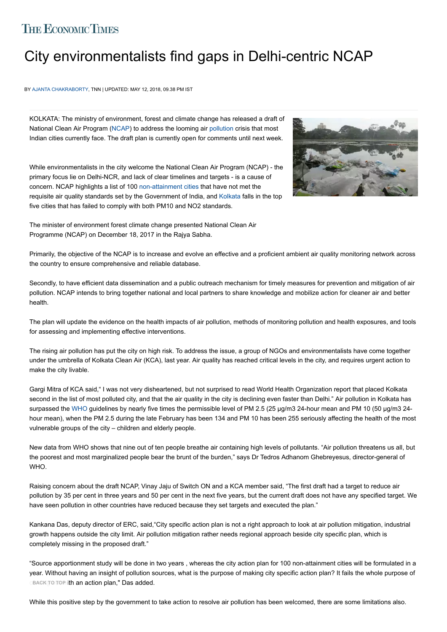## **THE ECONOMIC TIMES**

## [City envi](https://economictimes.indiatimes.com/marketstats.cms)[ronmen](https://economictimes.indiatimes.com/hindi/indices/sensex_30_companies)t[alis](https://economictimes.indiatimes.com/hindi/indices/nifty_50_companies)t[s f](https://economictimes.indiatimes.com/hindi/indices/nifty_50_companies)i[nd gaps](https://economictimes.indiatimes.com/hindi/commoditysummary/symbol-GOLD,language-HIN.cms) i[n Delh](https://economictimes.indiatimes.com/hindi/markets/forex)i-[centric](http://etportfolio.economictimes.indiatimes.com/DashBoard.htm?lang=HIN) NCAP

BY AJANTA CHAKRABORTY, TNN | UPDATED: MAY 12, 2018, 09.38 PM IST

KOLKATA: The ministry of environment, forest and climate change has released a draft of National Clean Air Program ([NCAP\)](https://economictimes.indiatimes.com/topic/NCAP) to address the looming air [pollution](https://economictimes.indiatimes.com/topic/pollution) crisis that most Indian cities currently face. The draft plan is currently open for comments until next week.

While environmentalists in the city welcome the National Clean Air Program (NCAP) - the primary focus lie on Delhi-NCR, and lack of clear timelines and targets - is a cause of concern. NCAP highlights a list of 100 [non-attainment cities](https://economictimes.indiatimes.com/topic/non-attainment-cities) that have not met the requisite air quality standards set by the Government of India, and [Kolkata](https://economictimes.indiatimes.com/topic/Kolkata) falls in the top five cities that has failed to comply with both PM10 and NO2 standards.



The minister of environment forest climate change presented National Clean Air Programme (NCAP) on December 18, 2017 in the Rajya Sabha.

Primarily, the objective of the NCAP is to increase and evolve an effective and a proficient ambient air quality monitoring network across the country to ensure comprehensive and reliable database.

Secondly, to have efficient data dissemination and a public outreach mechanism for timely measures for prevention and mitigation of air pollution. NCAP intends to bring together national and local partners to share knowledge and mobilize action for cleaner air and better health.

The plan will update the evidence on the health impacts of air pollution, methods of monitoring pollution and health exposures, and tools for assessing and implementing effective interventions.

The rising air pollution has put the city on high risk. To address the issue, a group of NGOs and environmentalists have come together under the umbrella of Kolkata Clean Air (KCA), last year. Air quality has reached critical levels in the city, and requires urgent action to make the city livable.

Gargi Mitra of KCA said," I was not very disheartened, but not surprised to read World Health Organization report that placed Kolkata second in the list of most polluted city, and that the air quality in the city is declining even faster than Delhi." Air pollution in Kolkata has surpassed the [WHO](https://economictimes.indiatimes.com/topic/WHO) guidelines by nearly five times the permissible level of PM 2.5 (25 µg/m3 24-hour mean and PM 10 (50 µg/m3 24hour mean), when the PM 2.5 during the late February has been 134 and PM 10 has been 255 seriously affecting the health of the most vulnerable groups of the city – children and elderly people.

New data from WHO shows that nine out of ten people breathe air containing high levels of pollutants. "Air pollution threatens us all, but the poorest and most marginalized people bear the brunt of the burden," says Dr Tedros Adhanom Ghebreyesus, director-general of WHO.

Raising concern about the draft NCAP, Vinay Jaju of Switch ON and a KCA member said, "The first draft had a target to reduce air pollution by 35 per cent in three years and 50 per cent in the next five years, but the current draft does not have any specified target. We have seen pollution in other countries have reduced because they set targets and executed the plan."

Kankana Das, deputy director of ERC, said,"City specific action plan is not a right approach to look at air pollution mitigation, industrial growth happens outside the city limit. Air pollution mitigation rather needs regional approach beside city specific plan, which is completely missing in the proposed draft."

"Source apportionment study will be done in two years , whereas the city action plan for 100 non-attainment cities will be formulated in a year. Without having an insight of pollution sources, what is the purpose of making city specific action plan? It fails the whole purpose of cBACK TO TOP i**th an action plan," Das added.** 

While this positive step by the government to take action to resolve air pollution has been welcomed, there are some limitations also.